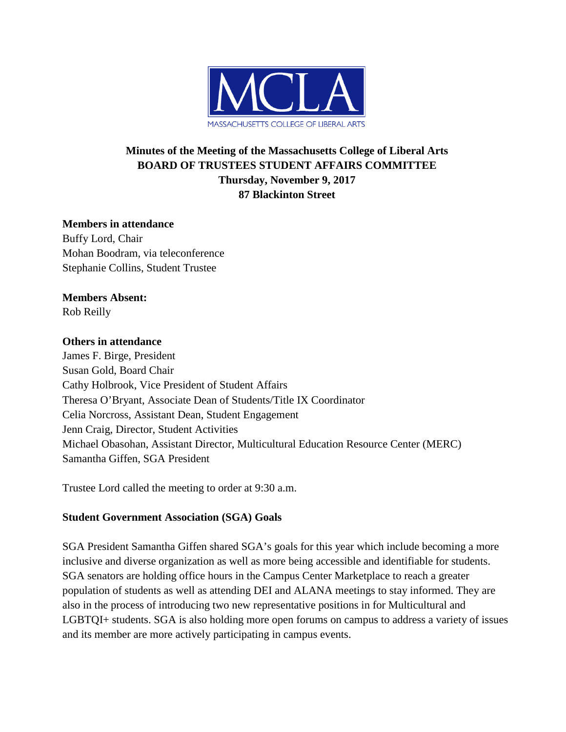

# **Minutes of the Meeting of the Massachusetts College of Liberal Arts BOARD OF TRUSTEES STUDENT AFFAIRS COMMITTEE Thursday, November 9, 2017 87 Blackinton Street**

## **Members in attendance**

Buffy Lord, Chair Mohan Boodram, via teleconference Stephanie Collins, Student Trustee

**Members Absent:** Rob Reilly

### **Others in attendance**

James F. Birge, President Susan Gold, Board Chair Cathy Holbrook, Vice President of Student Affairs Theresa O'Bryant, Associate Dean of Students/Title IX Coordinator Celia Norcross, Assistant Dean, Student Engagement Jenn Craig, Director, Student Activities Michael Obasohan, Assistant Director, Multicultural Education Resource Center (MERC) Samantha Giffen, SGA President

Trustee Lord called the meeting to order at 9:30 a.m.

### **Student Government Association (SGA) Goals**

SGA President Samantha Giffen shared SGA's goals for this year which include becoming a more inclusive and diverse organization as well as more being accessible and identifiable for students. SGA senators are holding office hours in the Campus Center Marketplace to reach a greater population of students as well as attending DEI and ALANA meetings to stay informed. They are also in the process of introducing two new representative positions in for Multicultural and LGBTQI+ students. SGA is also holding more open forums on campus to address a variety of issues and its member are more actively participating in campus events.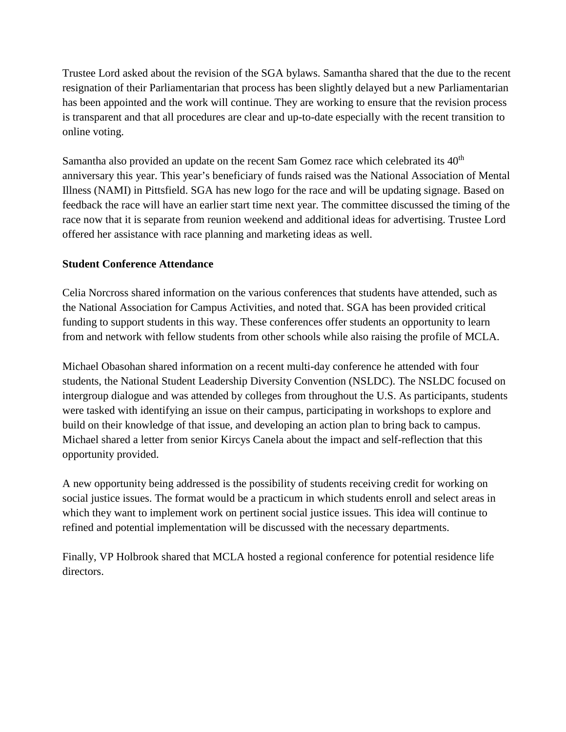Trustee Lord asked about the revision of the SGA bylaws. Samantha shared that the due to the recent resignation of their Parliamentarian that process has been slightly delayed but a new Parliamentarian has been appointed and the work will continue. They are working to ensure that the revision process is transparent and that all procedures are clear and up-to-date especially with the recent transition to online voting.

Samantha also provided an update on the recent Sam Gomez race which celebrated its  $40<sup>th</sup>$ anniversary this year. This year's beneficiary of funds raised was the National Association of Mental Illness (NAMI) in Pittsfield. SGA has new logo for the race and will be updating signage. Based on feedback the race will have an earlier start time next year. The committee discussed the timing of the race now that it is separate from reunion weekend and additional ideas for advertising. Trustee Lord offered her assistance with race planning and marketing ideas as well.

### **Student Conference Attendance**

Celia Norcross shared information on the various conferences that students have attended, such as the National Association for Campus Activities, and noted that. SGA has been provided critical funding to support students in this way. These conferences offer students an opportunity to learn from and network with fellow students from other schools while also raising the profile of MCLA.

Michael Obasohan shared information on a recent multi-day conference he attended with four students, the National Student Leadership Diversity Convention (NSLDC). The NSLDC focused on intergroup dialogue and was attended by colleges from throughout the U.S. As participants, students were tasked with identifying an issue on their campus, participating in workshops to explore and build on their knowledge of that issue, and developing an action plan to bring back to campus. Michael shared a letter from senior Kircys Canela about the impact and self-reflection that this opportunity provided.

A new opportunity being addressed is the possibility of students receiving credit for working on social justice issues. The format would be a practicum in which students enroll and select areas in which they want to implement work on pertinent social justice issues. This idea will continue to refined and potential implementation will be discussed with the necessary departments.

Finally, VP Holbrook shared that MCLA hosted a regional conference for potential residence life directors.